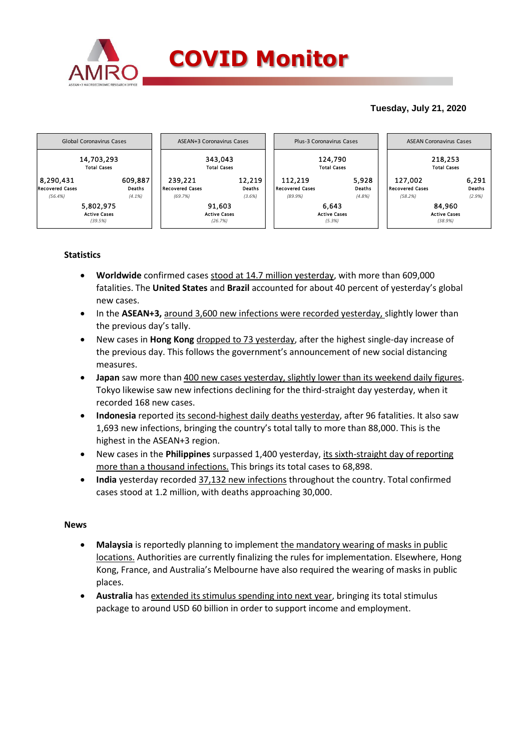

# **Tuesday, July 21, 2020**



# **Statistics**

- **Worldwide** confirmed cases stood at 14.7 million yesterday, with more than 609,000 fatalities. The **United States** and **Brazil** accounted for about 40 percent of yesterday's global new cases.
- In the **ASEAN+3**, around 3,600 new infections were recorded yesterday, slightly lower than the previous day's tally.
- New cases in **Hong Kong** dropped to 73 yesterday, after the highest single-day increase of the previous day. This follows the government's announcement of new social distancing measures.
- **Japan** saw more than 400 new cases yesterday, slightly lower than its weekend daily figures. Tokyo likewise saw new infections declining for the third-straight day yesterday, when it recorded 168 new cases.
- **Indonesia** reported its second-highest daily deaths yesterday, after 96 fatalities. It also saw 1,693 new infections, bringing the country's total tally to more than 88,000. This is the highest in the ASEAN+3 region.
- New cases in the **Philippines** surpassed 1,400 yesterday, its sixth-straight day of reporting more than a thousand infections. This brings its total cases to 68,898.
- **India** yesterday recorded 37,132 new infections throughout the country. Total confirmed cases stood at 1.2 million, with deaths approaching 30,000.

### **News**

- **Malaysia** is reportedly planning to implement the mandatory wearing of masks in public locations. Authorities are currently finalizing the rules for implementation. Elsewhere, Hong Kong, France, and Australia's Melbourne have also required the wearing of masks in public places.
- **Australia** has extended its stimulus spending into next year, bringing its total stimulus package to around USD 60 billion in order to support income and employment.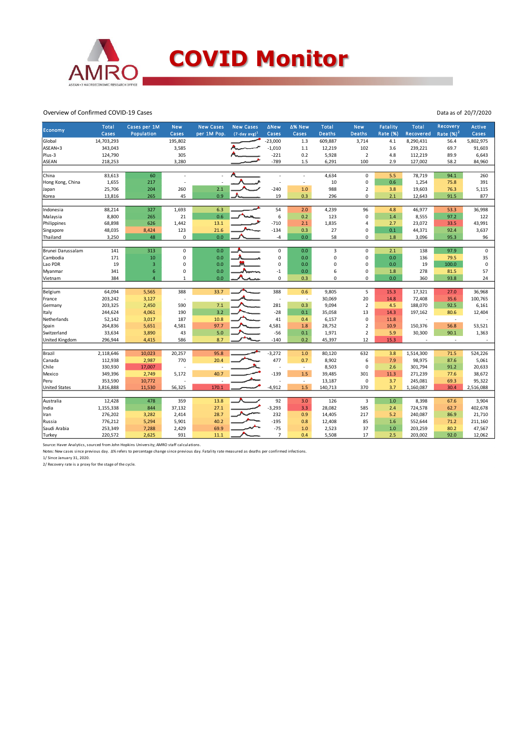

#### Overview of Confirmed COVID-19 Cases

|                      | <b>Total</b> | Cases per 1M     | <b>New</b>   | <b>New Cases</b> | <b>New Cases</b>            | <b>∆New</b>    | ∆% New | <b>Total</b>   | <b>New</b>     | <b>Fatality</b> | <b>Total</b> | Recovery                 | Active      |
|----------------------|--------------|------------------|--------------|------------------|-----------------------------|----------------|--------|----------------|----------------|-----------------|--------------|--------------------------|-------------|
| Economy              | Cases        | Population       | Cases        | per 1M Pop.      | $(7$ -day avg) <sup>1</sup> | Cases          | Cases  | Deaths         | <b>Deaths</b>  | <b>Rate (%)</b> | Recovered    | Rate $(%)2$              | Cases       |
| Global               | 14,703,293   |                  | 195,802      |                  |                             | $-23,000$      | 1.3    | 609,887        | 3,714          | 4.1             | 8,290,431    | 56.4                     | 5,802,975   |
| ASEAN+3              | 343,043      |                  | 3,585        |                  |                             | $-1,010$       | 1.1    | 12,219         | 102            | 3.6             | 239,221      | 69.7                     | 91,603      |
| Plus-3               | 124,790      |                  | 305          |                  |                             | $-221$         | 0.2    | 5,928          | $\overline{2}$ | 4.8             | 112,219      | 89.9                     | 6,643       |
| ASEAN                | 218,253      |                  | 3,280        |                  |                             | $-789$         | 1.5    | 6,291          | 100            | 2.9             | 127,002      | 58.2                     | 84,960      |
|                      |              |                  |              |                  |                             |                |        |                |                |                 |              |                          |             |
| China                | 83,613       | 60               |              |                  |                             |                | ×,     | 4,634          | $\mathbf 0$    | 5.5             | 78,719       | 94.1                     | 260         |
| Hong Kong, China     | 1,655        | 217              |              |                  |                             |                | ×,     | 10             | 0              | 0.6             | 1,254        | 75.8                     | 391         |
| Japan                | 25,706       | 204              | 260          | 2.1              |                             | $-240$         | 1.0    | 988            | $\overline{2}$ | 3.8             | 19,603       | 76.3                     | 5,115       |
| Korea                | 13,816       | 265              | 45           | 0.9              |                             | 19             | 0.3    | 296            | $\Omega$       | 2.1             | 12,643       | 91.5                     | 877         |
|                      |              |                  |              |                  |                             |                |        |                |                |                 |              |                          |             |
| Indonesia            | 88,214       | 327              | 1,693        | 6.3              |                             | 54             | 2.0    | 4,239          | 96             | 4.8             | 46,977       | 53.3                     | 36,998      |
| Malaysia             | 8,800        | 265              | 21           | 0.6              |                             | 6              | 0.2    | 123            | $\Omega$       | $1.4\,$         | 8,555        | 97.2                     | 122         |
| Philippines          | 68,898       | 626              | 1,442        | 13.1             |                             | $-710$         | 2.1    | 1,835          | $\overline{4}$ | 2.7             | 23,072       | 33.5                     | 43,991      |
| Singapore            | 48,035       | 8,424            | 123          | 21.6             |                             | $-134$         | 0.3    | 27             | $\mathbf 0$    | 0.1             | 44,371       | 92.4                     | 3,637       |
| Thailand             | 3,250        | 48               | 0            | 0.0              |                             | $-4$           | 0.0    | 58             | 0              | $1.8\,$         | 3,096        | 95.3                     | 96          |
|                      |              |                  |              |                  |                             |                |        |                |                |                 |              |                          |             |
| Brunei Darussalam    | 141          | 313              | $\pmb{0}$    | 0.0              |                             | $\pmb{0}$      | 0.0    | 3              | 0              | 2.1             | 138          | 97.9                     | $\mathsf 0$ |
| Cambodia             | 171          | 10               | $\mathbf 0$  | 0.0              |                             | 0              | 0.0    | $\overline{0}$ | 0              | 0.0             | 136          | 79.5                     | 35          |
| Lao PDR              | 19           | 3                | $\mathbf 0$  | 0.0              |                             | $\mathbf 0$    | 0.0    | 0              | $\mathbf 0$    | 0.0             | 19           | 100.0                    | $\mathbf 0$ |
| Myanmar              | 341          | $\boldsymbol{6}$ | 0            | 0.0              |                             | $-1$           | 0.0    | 6              | 0              | 1.8             | 278          | 81.5                     | 57          |
| Vietnam              | 384          | $\overline{a}$   | $\mathbf{1}$ | 0.0              |                             | $\pmb{0}$      | 0.3    | $\Omega$       | 0              | 0.0             | 360          | 93.8                     | 24          |
|                      |              |                  |              |                  |                             |                |        |                |                |                 |              |                          |             |
| Belgium              | 64,094       | 5,565            | 388          | 33.7             |                             | 388            | 0.6    | 9,805          | 5              | 15.3            | 17,321       | 27.0                     | 36,968      |
| France               | 203,242      | 3,127            | ÷,           |                  |                             | Ĭ.             | J.     | 30,069         | 20             | 14.8            | 72,408       | 35.6                     | 100,765     |
| Germany              | 203,325      | 2,450            | 590          | 7.1              |                             | 281            | 0.3    | 9,094          | $\overline{2}$ | 4.5             | 188,070      | 92.5                     | 6,161       |
| Italy                | 244,624      | 4,061            | 190          | 3.2              |                             | $-28$          | 0.1    | 35,058         | 13             | 14.3            | 197,162      | 80.6                     | 12,404      |
| Netherlands          | 52,142       | 3,017            | 187          | 10.8             |                             | 41             | 0.4    | 6,157          | $\mathbf 0$    | 11.8            |              | $\overline{\phantom{a}}$ |             |
| Spain                | 264,836      | 5,651            | 4,581        | 97.7             |                             | 4,581          | 1.8    | 28,752         | $\overline{2}$ | 10.9            | 150,376      | 56.8                     | 53,521      |
| Switzerland          | 33,634       | 3,890            | 43           | 5.0              |                             | $-56$          | 0.1    | 1,971          | $\overline{2}$ | 5.9             | 30,300       | 90.1                     | 1,363       |
| United Kingdom       | 296,944      | 4,415            | 586          | 8.7              |                             | $-140$         | 0.2    | 45,397         | 12             | 15.3            |              | $\overline{\phantom{a}}$ |             |
|                      |              |                  |              |                  |                             |                |        |                |                |                 |              |                          |             |
| Brazil               | 2,118,646    | 10,023           | 20,257       | 95.8             |                             | $-3,272$       | 1.0    | 80,120         | 632            | 3.8             | 1,514,300    | 71.5                     | 524,226     |
| Canada               | 112,938      | 2,987            | 770          | 20.4             |                             | 477            | 0.7    | 8,902          | 6              | 7.9             | 98,975       | 87.6                     | 5,061       |
| Chile                | 330,930      | 17,007           |              |                  |                             | ÷              | ä,     | 8,503          | $\mathbf 0$    | 2.6             | 301,794      | 91.2                     | 20,633      |
| Mexico               | 349,396      | 2,749            | 5,172        | 40.7             |                             | $-139$         | 1.5    | 39,485         | 301            | 11.3            | 271,239      | 77.6                     | 38,672      |
| Peru                 | 353,590      | 10,772           |              |                  |                             |                | $\sim$ | 13,187         | $\mathbf 0$    | 3.7             | 245,081      | 69.3                     | 95,322      |
| <b>United States</b> | 3,816,888    | 11,530           | 56,325       | 170.1            |                             | $-4,912$       | 1.5    | 140,713        | 370            | 3.7             | 1,160,087    | 30.4                     | 2,516,088   |
|                      |              |                  |              |                  |                             |                |        |                |                |                 |              |                          |             |
| Australia            | 12,428       | 478              | 359          | 13.8             |                             | 92             | 3.0    | 126            | 3              | 1.0             | 8,398        | 67.6                     | 3,904       |
| India                | 1,155,338    | 844              | 37,132       | 27.1             |                             | $-3,293$       | 3.3    | 28,082         | 585            | 2.4             | 724,578      | 62.7                     | 402,678     |
| Iran                 | 276,202      | 3,282            | 2,414        | 28.7             |                             | 232            | 0.9    | 14,405         | 217            | 5.2             | 240,087      | 86.9                     | 21,710      |
| Russia               | 776,212      | 5,294            | 5,901        | 40.2             |                             | $-195$         | 0.8    | 12,408         | 85             | 1.6             | 552,644      | 71.2                     | 211,160     |
| Saudi Arabia         | 253,349      | 7,288            | 2,429        | 69.9             |                             | $-75$          | 1.0    | 2,523          | 37             | $1.0\,$         | 203,259      | 80.2                     | 47,567      |
| Turkey               | 220,572      | 2,625            | 931          | 11.1             |                             | $\overline{7}$ | 0.4    | 5,508          | 17             | 2.5             | 203,002      | 92.0                     | 12,062      |
|                      |              |                  |              |                  |                             |                |        |                |                |                 |              |                          |             |

Source: Haver Analytics, sourced from John Hopkins University; AMRO staff calculations.<br>Notes: New cases since previous day. ∆% refers to percentage change since previous day. Fatality rate measured as deaths per confirmed

Data as of 20/7/2020